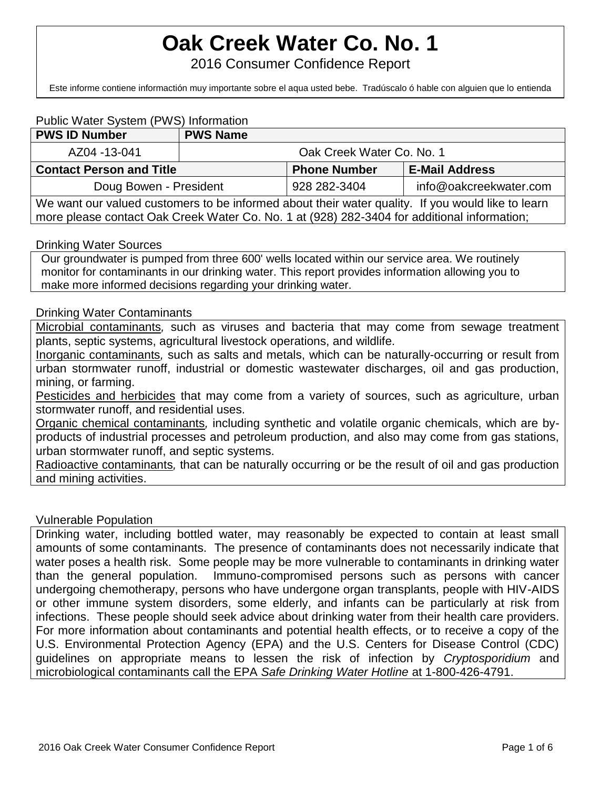# **Oak Creek Water Co. No. 1**

2016 Consumer Confidence Report

Este informe contiene informactión muy importante sobre el aqua usted bebe. Tradúscalo ó hable con alguien que lo entienda bien.

### Public Water System (PWS) Information

| <b>PWS ID Number</b>                                                                                                                                                                             | <b>PWS Name</b>           |                     |                        |  |  |
|--------------------------------------------------------------------------------------------------------------------------------------------------------------------------------------------------|---------------------------|---------------------|------------------------|--|--|
| AZ04 -13-041                                                                                                                                                                                     | Oak Creek Water Co. No. 1 |                     |                        |  |  |
| <b>Contact Person and Title</b>                                                                                                                                                                  |                           | <b>Phone Number</b> | <b>E-Mail Address</b>  |  |  |
| Doug Bowen - President                                                                                                                                                                           |                           | 928 282-3404        | info@oakcreekwater.com |  |  |
| We want our valued customers to be informed about their water quality. If you would like to learn<br>more please contact Oak Creek Water Co. No. 1 at (928) 282-3404 for additional information; |                           |                     |                        |  |  |

#### Drinking Water Sources

Our groundwater is pumped from three 600' wells located within our service area. We routinely monitor for contaminants in our drinking water. This report provides information allowing you to make more informed decisions regarding your drinking water.

#### Drinking Water Contaminants

Microbial contaminants*,* such as viruses and bacteria that may come from sewage treatment plants, septic systems, agricultural livestock operations, and wildlife*.*

Inorganic contaminants*,* such as salts and metals, which can be naturally-occurring or result from urban stormwater runoff, industrial or domestic wastewater discharges, oil and gas production, mining, or farming.

Pesticides and herbicides that may come from a variety of sources, such as agriculture, urban stormwater runoff, and residential uses.

Organic chemical contaminants*,* including synthetic and volatile organic chemicals, which are byproducts of industrial processes and petroleum production, and also may come from gas stations, urban stormwater runoff, and septic systems.

Radioactive contaminants*,* that can be naturally occurring or be the result of oil and gas production and mining activities.

#### Vulnerable Population

Drinking water, including bottled water, may reasonably be expected to contain at least small amounts of some contaminants. The presence of contaminants does not necessarily indicate that water poses a health risk. Some people may be more vulnerable to contaminants in drinking water than the general population. Immuno-compromised persons such as persons with cancer undergoing chemotherapy, persons who have undergone organ transplants, people with HIV-AIDS or other immune system disorders, some elderly, and infants can be particularly at risk from infections. These people should seek advice about drinking water from their health care providers. For more information about contaminants and potential health effects, or to receive a copy of the U.S. Environmental Protection Agency (EPA) and the U.S. Centers for Disease Control (CDC) guidelines on appropriate means to lessen the risk of infection by *Cryptosporidium* and microbiological contaminants call the EPA *Safe Drinking Water Hotline* at 1-800-426-4791.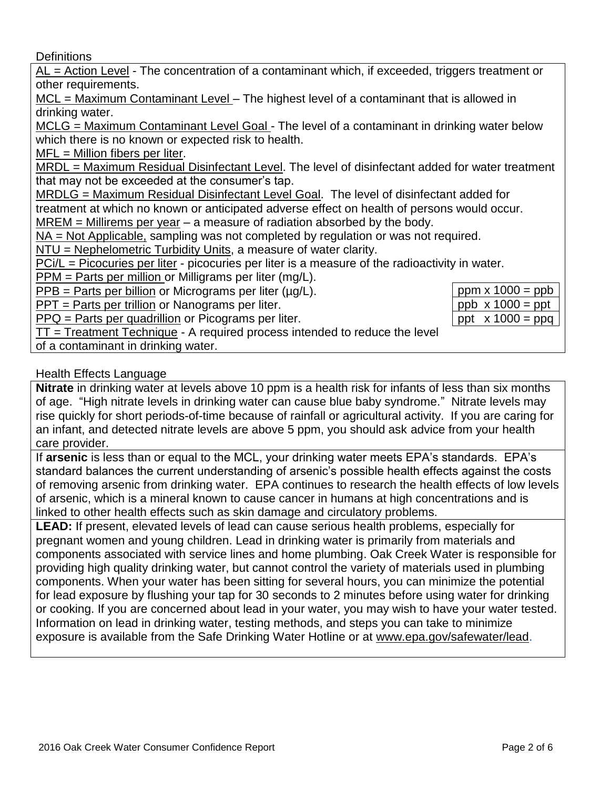**Definitions** 

AL = Action Level - The concentration of a contaminant which, if exceeded, triggers treatment or other requirements.

MCL = Maximum Contaminant Level – The highest level of a contaminant that is allowed in drinking water.

MCLG = Maximum Contaminant Level Goal - The level of a contaminant in drinking water below which there is no known or expected risk to health.

 $MFL =$  Million fibers per liter.

MRDL = Maximum Residual Disinfectant Level. The level of disinfectant added for water treatment that may not be exceeded at the consumer's tap.

MRDLG = Maximum Residual Disinfectant Level Goal. The level of disinfectant added for

treatment at which no known or anticipated adverse effect on health of persons would occur.

 $MREM =$  Millirems per year  $-$  a measure of radiation absorbed by the body.

NA = Not Applicable, sampling was not completed by regulation or was not required.

NTU = Nephelometric Turbidity Units, a measure of water clarity.

PCi/L = Picocuries per liter - picocuries per liter is a measure of the radioactivity in water.

PPM = Parts per million or Milligrams per liter (mg/L).

 $PPB =$  Parts per billion or Micrograms per liter ( $\mu q/L$ ).

PPT = Parts per trillion or Nanograms per liter.

PPQ = Parts per quadrillion or Picograms per liter.

| ppm $x 1000 =$ ppb      |
|-------------------------|
| $ppb \times 1000 = ppt$ |
| ppt $x 1000 = ppq$      |

 $TT = Treatment Technique - A required process intended to reduce the level$ 

of a contaminant in drinking water.

## Health Effects Language

**Nitrate** in drinking water at levels above 10 ppm is a health risk for infants of less than six months of age. "High nitrate levels in drinking water can cause blue baby syndrome." Nitrate levels may rise quickly for short periods-of-time because of rainfall or agricultural activity. If you are caring for an infant, and detected nitrate levels are above 5 ppm, you should ask advice from your health care provider.

If **arsenic** is less than or equal to the MCL, your drinking water meets EPA's standards. EPA's standard balances the current understanding of arsenic's possible health effects against the costs of removing arsenic from drinking water. EPA continues to research the health effects of low levels of arsenic, which is a mineral known to cause cancer in humans at high concentrations and is linked to other health effects such as skin damage and circulatory problems.

**LEAD:** If present, elevated levels of lead can cause serious health problems, especially for pregnant women and young children. Lead in drinking water is primarily from materials and components associated with service lines and home plumbing. Oak Creek Water is responsible for providing high quality drinking water, but cannot control the variety of materials used in plumbing components. When your water has been sitting for several hours, you can minimize the potential for lead exposure by flushing your tap for 30 seconds to 2 minutes before using water for drinking or cooking. If you are concerned about lead in your water, you may wish to have your water tested. Information on lead in drinking water, testing methods, and steps you can take to minimize exposure is available from the Safe Drinking Water Hotline or at [www.epa.gov/safewater/lead.](http://www.epa.gov/safewater/lead)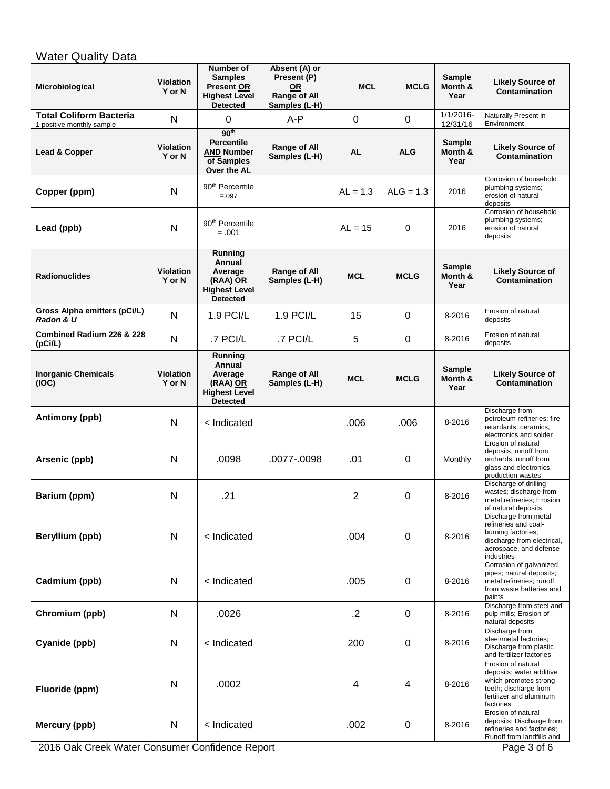# **Water Quality Data**

| Microbiological                                             | <b>Violation</b><br>Y or N | Number of<br><b>Samples</b><br><b>Present OR</b><br><b>Highest Level</b><br><b>Detected</b> | Absent (A) or<br>Present (P)<br>0R<br>Range of All<br>Samples (L-H) | <b>MCL</b>     | <b>MCLG</b> | <b>Sample</b><br>Month &<br>Year | <b>Likely Source of</b><br><b>Contamination</b>                                                                                          |
|-------------------------------------------------------------|----------------------------|---------------------------------------------------------------------------------------------|---------------------------------------------------------------------|----------------|-------------|----------------------------------|------------------------------------------------------------------------------------------------------------------------------------------|
| <b>Total Coliform Bacteria</b><br>1 positive monthly sample | N                          | 0                                                                                           | A-P                                                                 | $\mathbf 0$    | $\mathbf 0$ | $1/1/2016 -$<br>12/31/16         | Naturally Present in<br>Environment                                                                                                      |
| Lead & Copper                                               | Violation<br>Y or N        | 90 <sup>th</sup><br><b>Percentile</b><br><b>AND Number</b><br>of Samples<br>Over the AL     | Range of All<br>Samples (L-H)                                       | <b>AL</b>      | <b>ALG</b>  | <b>Sample</b><br>Month &<br>Year | <b>Likely Source of</b><br><b>Contamination</b>                                                                                          |
| Copper (ppm)                                                | N                          | 90 <sup>th</sup> Percentile<br>$=.097$                                                      |                                                                     | $AL = 1.3$     | $ALG = 1.3$ | 2016                             | Corrosion of household<br>plumbing systems;<br>erosion of natural<br>deposits                                                            |
| Lead (ppb)                                                  | N                          | 90 <sup>th</sup> Percentile<br>$=.001$                                                      |                                                                     | $AL = 15$      | 0           | 2016                             | Corrosion of household<br>plumbing systems;<br>erosion of natural<br>deposits                                                            |
| <b>Radionuclides</b>                                        | <b>Violation</b><br>Y or N | Running<br>Annual<br>Average<br>(RAA) OR<br><b>Highest Level</b><br><b>Detected</b>         | Range of All<br>Samples (L-H)                                       | <b>MCL</b>     | <b>MCLG</b> | Sample<br>Month &<br>Year        | <b>Likely Source of</b><br>Contamination                                                                                                 |
| Gross Alpha emitters (pCi/L)<br>Radon & U                   | N                          | 1.9 PCI/L                                                                                   | 1.9 PCI/L                                                           | 15             | 0           | 8-2016                           | Erosion of natural<br>deposits                                                                                                           |
| Combined Radium 226 & 228<br>(pCi/L)                        | N                          | .7 PCI/L                                                                                    | .7 PCI/L                                                            | 5              | 0           | 8-2016                           | Erosion of natural<br>deposits                                                                                                           |
| <b>Inorganic Chemicals</b><br>(IOC)                         | <b>Violation</b><br>Y or N | Running<br>Annual<br>Average<br>(RAA) OR<br><b>Highest Level</b><br><b>Detected</b>         | Range of All<br>Samples (L-H)                                       | <b>MCL</b>     | <b>MCLG</b> | <b>Sample</b><br>Month &<br>Year | <b>Likely Source of</b><br>Contamination                                                                                                 |
| Antimony (ppb)                                              | $\mathsf{N}$               | < Indicated                                                                                 |                                                                     | .006           | .006        | 8-2016                           | Discharge from<br>petroleum refineries; fire<br>retardants; ceramics,<br>electronics and solder                                          |
| Arsenic (ppb)                                               | N                          | .0098                                                                                       | .0077-.0098                                                         | .01            | 0           | Monthly                          | Erosion of natural<br>deposits, runoff from<br>orchards, runoff from<br>glass and electronics<br>production wastes                       |
| Barium (ppm)                                                | N                          | .21                                                                                         |                                                                     | $\overline{2}$ | 0           | 8-2016                           | Discharge of drilling<br>wastes; discharge from<br>metal refineries; Erosion<br>of natural deposits                                      |
| Beryllium (ppb)                                             | N                          | < Indicated                                                                                 |                                                                     | .004           | 0           | 8-2016                           | Discharge from metal<br>refineries and coal-<br>burning factories;<br>discharge from electrical,<br>aerospace, and defense<br>industries |
| Cadmium (ppb)                                               | N                          | < Indicated                                                                                 |                                                                     | .005           | 0           | 8-2016                           | Corrosion of galvanized<br>pipes; natural deposits;<br>metal refineries; runoff<br>from waste batteries and<br>paints                    |
| Chromium (ppb)                                              | N                          | .0026                                                                                       |                                                                     | $\cdot$ .2     | 0           | 8-2016                           | Discharge from steel and<br>pulp mills; Erosion of<br>natural deposits                                                                   |
| Cyanide (ppb)                                               | N                          | < Indicated                                                                                 |                                                                     | 200            | 0           | 8-2016                           | Discharge from<br>steel/metal factories;<br>Discharge from plastic<br>and fertilizer factories                                           |
| Fluoride (ppm)                                              | N                          | .0002                                                                                       |                                                                     | 4              | 4           | 8-2016                           | Erosion of natural<br>deposits; water additive<br>which promotes strong<br>teeth; discharge from<br>fertilizer and aluminum<br>factories |
| Mercury (ppb)                                               | N                          | < Indicated                                                                                 |                                                                     | .002           | 0           | 8-2016                           | Erosion of natural<br>deposits; Discharge from<br>refineries and factories;<br>Runoff from landfills and                                 |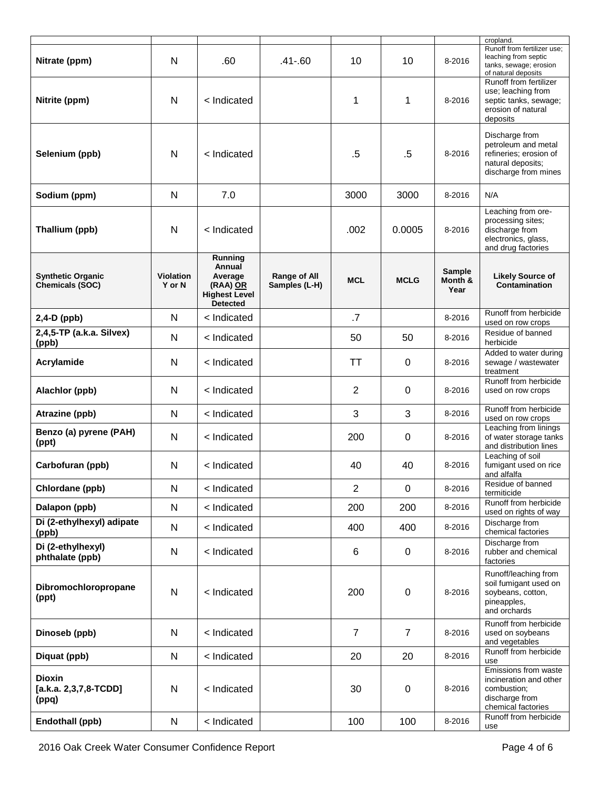| Nitrate (ppm)                                      | N                          | .60                                                                                 | $.41 - .60$                   | 10             | 10               | 8-2016                    | cropland.<br>Runoff from fertilizer use;<br>leaching from septic<br>tanks, sewage; erosion<br>of natural deposits |
|----------------------------------------------------|----------------------------|-------------------------------------------------------------------------------------|-------------------------------|----------------|------------------|---------------------------|-------------------------------------------------------------------------------------------------------------------|
| Nitrite (ppm)                                      | N                          | < Indicated                                                                         |                               | 1              | 1                | 8-2016                    | Runoff from fertilizer<br>use; leaching from<br>septic tanks, sewage;<br>erosion of natural<br>deposits           |
| Selenium (ppb)                                     | N                          | < Indicated                                                                         |                               | $.5\,$         | $.5\,$           | 8-2016                    | Discharge from<br>petroleum and metal<br>refineries; erosion of<br>natural deposits;<br>discharge from mines      |
| Sodium (ppm)                                       | N                          | 7.0                                                                                 |                               | 3000           | 3000             | 8-2016                    | N/A                                                                                                               |
| Thallium (ppb)                                     | N                          | < Indicated                                                                         |                               | .002           | 0.0005           | 8-2016                    | Leaching from ore-<br>processing sites;<br>discharge from<br>electronics, glass,<br>and drug factories            |
| <b>Synthetic Organic</b><br><b>Chemicals (SOC)</b> | <b>Violation</b><br>Y or N | Running<br>Annual<br>Average<br>(RAA) OR<br><b>Highest Level</b><br><b>Detected</b> | Range of All<br>Samples (L-H) | <b>MCL</b>     | <b>MCLG</b>      | Sample<br>Month &<br>Year | <b>Likely Source of</b><br>Contamination                                                                          |
| 2,4-D (ppb)                                        | N                          | < Indicated                                                                         |                               | .7             |                  | 8-2016                    | Runoff from herbicide<br>used on row crops                                                                        |
| 2,4,5-TP (a.k.a. Silvex)<br>(ppb)                  | N                          | < Indicated                                                                         |                               | 50             | 50               | 8-2016                    | Residue of banned<br>herbicide                                                                                    |
| Acrylamide                                         | N                          | < Indicated                                                                         |                               | <b>TT</b>      | 0                | 8-2016                    | Added to water during<br>sewage / wastewater<br>treatment                                                         |
| Alachlor (ppb)                                     | N                          | < Indicated                                                                         |                               | $\overline{2}$ | 0                | 8-2016                    | Runoff from herbicide<br>used on row crops                                                                        |
| Atrazine (ppb)                                     | N                          | < Indicated                                                                         |                               | 3              | 3                | 8-2016                    | Runoff from herbicide<br>used on row crops                                                                        |
| Benzo (a) pyrene (PAH)<br>(ppt)                    | N                          | < Indicated                                                                         |                               | 200            | 0                | 8-2016                    | Leaching from linings<br>of water storage tanks<br>and distribution lines                                         |
| Carbofuran (ppb)                                   | N                          | < Indicated                                                                         |                               | 40             | 40               | 8-2016                    | Leaching of soil<br>fumigant used on rice<br>and alfalfa                                                          |
| Chlordane (ppb)                                    | N                          | < Indicated                                                                         |                               | 2              | $\mathbf 0$      | 8-2016                    | Residue of banned<br>termiticide                                                                                  |
| Dalapon (ppb)                                      | N                          | < Indicated                                                                         |                               | 200            | 200              | 8-2016                    | Runoff from herbicide<br>used on rights of way                                                                    |
| Di (2-ethylhexyl) adipate<br>(ppb)                 | N                          | < Indicated                                                                         |                               | 400            | 400              | 8-2016                    | Discharge from<br>chemical factories                                                                              |
| Di (2-ethylhexyl)<br>phthalate (ppb)               | N                          | < Indicated                                                                         |                               | 6              | $\mathbf 0$      | 8-2016                    | Discharge from<br>rubber and chemical<br>factories                                                                |
| Dibromochloropropane<br>(ppt)                      | N                          | < Indicated                                                                         |                               | 200            | $\boldsymbol{0}$ | 8-2016                    | Runoff/leaching from<br>soil fumigant used on<br>soybeans, cotton,<br>pineapples,<br>and orchards                 |
| Dinoseb (ppb)                                      | $\mathsf{N}$               | < Indicated                                                                         |                               | $\overline{7}$ | $\overline{7}$   | 8-2016                    | Runoff from herbicide<br>used on soybeans<br>and vegetables                                                       |
| Diquat (ppb)                                       | N                          | < Indicated                                                                         |                               | 20             | 20               | 8-2016                    | Runoff from herbicide<br>use                                                                                      |
| <b>Dioxin</b><br>$[a.k.a. 2,3,7,8-TCDD]$<br>(ppq)  | N                          | < Indicated                                                                         |                               | 30             | $\mathbf 0$      | 8-2016                    | Emissions from waste<br>incineration and other<br>combustion;<br>discharge from<br>chemical factories             |
| Endothall (ppb)                                    | ${\sf N}$                  | < Indicated                                                                         |                               | 100            | 100              | 8-2016                    | Runoff from herbicide<br>use                                                                                      |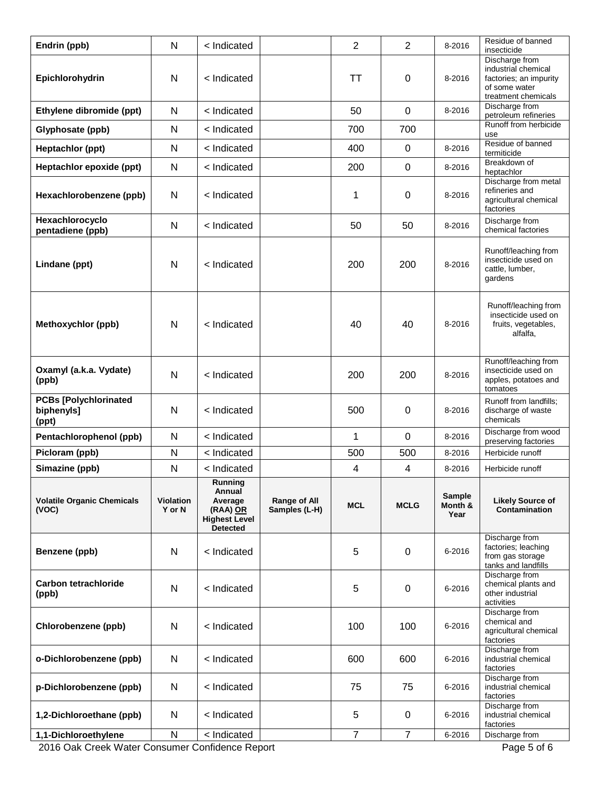| Endrin (ppb)                                        | N                          | < Indicated                                                                         |                               | $\overline{2}$      | $\overline{2}$      | 8-2016                           | Residue of banned<br>insecticide                                                                        |
|-----------------------------------------------------|----------------------------|-------------------------------------------------------------------------------------|-------------------------------|---------------------|---------------------|----------------------------------|---------------------------------------------------------------------------------------------------------|
| Epichlorohydrin                                     | $\mathsf{N}$               | < Indicated                                                                         |                               | <b>TT</b>           | 0                   | 8-2016                           | Discharge from<br>industrial chemical<br>factories; an impurity<br>of some water<br>treatment chemicals |
| Ethylene dibromide (ppt)                            | N                          | < Indicated                                                                         |                               | 50                  | $\mathbf 0$         | 8-2016                           | Discharge from<br>petroleum refineries                                                                  |
| Glyphosate (ppb)                                    | N                          | < Indicated                                                                         |                               | 700                 | 700                 |                                  | Runoff from herbicide<br>use                                                                            |
| Heptachlor (ppt)                                    | N                          | < Indicated                                                                         |                               | 400                 | $\mathbf 0$         | 8-2016                           | Residue of banned<br>termiticide                                                                        |
| Heptachlor epoxide (ppt)                            | N                          | < Indicated                                                                         |                               | 200                 | 0                   | 8-2016                           | Breakdown of<br>heptachlor                                                                              |
| Hexachlorobenzene (ppb)                             | N                          | < Indicated                                                                         |                               | 1                   | 0                   | 8-2016                           | Discharge from metal<br>refineries and<br>agricultural chemical<br>factories                            |
| Hexachlorocyclo<br>pentadiene (ppb)                 | N                          | < Indicated                                                                         |                               | 50                  | 50                  | 8-2016                           | Discharge from<br>chemical factories                                                                    |
| Lindane (ppt)                                       | N                          | < Indicated                                                                         |                               | 200                 | 200                 | 8-2016                           | Runoff/leaching from<br>insecticide used on<br>cattle, lumber,<br>gardens                               |
| Methoxychlor (ppb)                                  | N                          | < Indicated                                                                         |                               | 40                  | 40                  | 8-2016                           | Runoff/leaching from<br>insecticide used on<br>fruits, vegetables,<br>alfalfa,                          |
| Oxamyl (a.k.a. Vydate)<br>(ppb)                     | N                          | < Indicated                                                                         |                               | 200                 | 200                 | 8-2016                           | Runoff/leaching from<br>insecticide used on<br>apples, potatoes and<br>tomatoes                         |
| <b>PCBs [Polychlorinated</b><br>biphenyls]<br>(ppt) | N                          | < Indicated                                                                         |                               | 500                 | 0                   | 8-2016                           | Runoff from landfills;<br>discharge of waste<br>chemicals                                               |
| Pentachlorophenol (ppb)                             | N                          | < Indicated                                                                         |                               | 1                   | 0                   | 8-2016                           | Discharge from wood<br>preserving factories                                                             |
| Picloram (ppb)                                      | N                          | < Indicated                                                                         |                               | 500                 | 500                 | 8-2016                           | Herbicide runoff                                                                                        |
| Simazine (ppb)                                      | N                          | < Indicated                                                                         |                               | 4                   | 4                   | 8-2016                           | Herbicide runoff                                                                                        |
|                                                     |                            |                                                                                     |                               |                     |                     |                                  |                                                                                                         |
| <b>Volatile Organic Chemicals</b><br>(VOC)          | <b>Violation</b><br>Y or N | Running<br>Annual<br>Average<br>(RAA) OR<br><b>Highest Level</b><br><b>Detected</b> | Range of All<br>Samples (L-H) | <b>MCL</b>          | <b>MCLG</b>         | <b>Sample</b><br>Month &<br>Year | <b>Likely Source of</b><br>Contamination                                                                |
| Benzene (ppb)                                       | N                          | < Indicated                                                                         |                               | 5                   | 0                   | 6-2016                           | Discharge from<br>factories; leaching<br>from gas storage<br>tanks and landfills                        |
| <b>Carbon tetrachloride</b><br>(ppb)                | N                          | < Indicated                                                                         |                               | 5                   | 0                   | 6-2016                           | Discharge from<br>chemical plants and<br>other industrial<br>activities                                 |
| Chlorobenzene (ppb)                                 | N                          | < Indicated                                                                         |                               | 100                 | 100                 | 6-2016                           | Discharge from<br>chemical and<br>agricultural chemical<br>factories                                    |
| o-Dichlorobenzene (ppb)                             | N                          | < Indicated                                                                         |                               | 600                 | 600                 | 6-2016                           | Discharge from<br>industrial chemical<br>factories                                                      |
| p-Dichlorobenzene (ppb)                             | N                          | < Indicated                                                                         |                               | 75                  | 75                  | 6-2016                           | Discharge from<br>industrial chemical<br>factories                                                      |
| 1,2-Dichloroethane (ppb)                            | N                          | < Indicated                                                                         |                               | 5<br>$\overline{7}$ | 0<br>$\overline{7}$ | 6-2016                           | Discharge from<br>industrial chemical<br>factories                                                      |

2016 Oak Creek Water Consumer Confidence Report Page 5 of 6